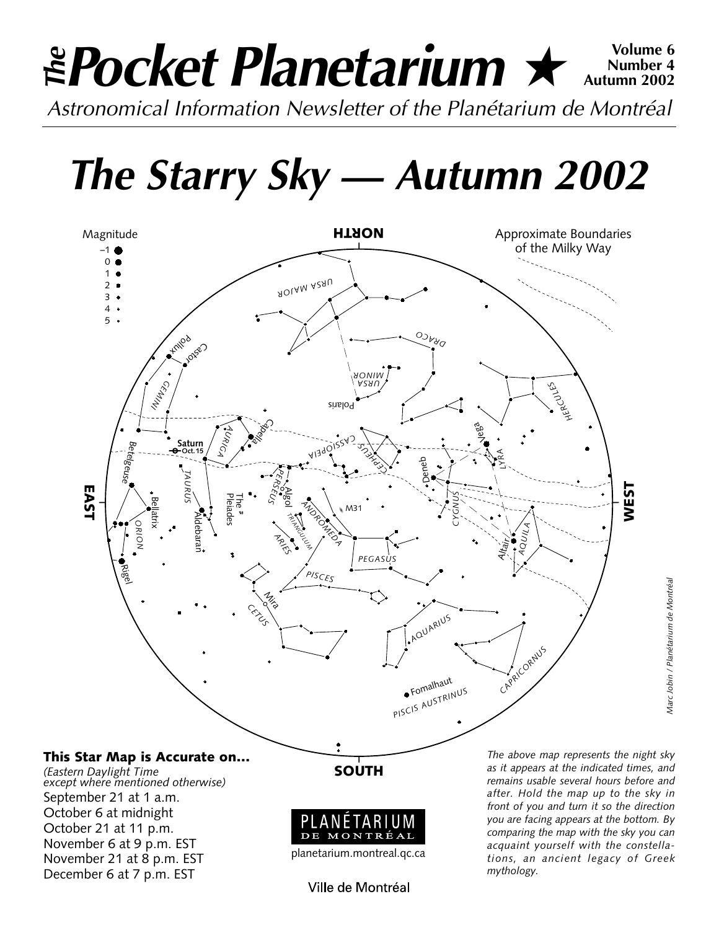## *Pocket Planetarium* ★ **Volume 6** *Astronomical Information Newsletter of the Planétarium de Montréal The***Number 4 Autumn 2002**

*The Starry Sky — Autumn 2002*



DE MONTRÉAL

October 6 at midnight October 21 at 11 p.m. November 6 at 9 p.m. EST November 21 at 8 p.m. EST December 6 at 7 p.m. EST

planetarium.montreal.qc.ca

Ville de Montréal

*as it appears at the indicated times, and remains usable several hours before and after. Hold the map up to the sky in front of you and turn it so the direction you are facing appears at the bottom. By comparing the map with the sky you can acquaint yourself with the constellations, an ancient legacy of Greek mythology.*

*Marc Jobin / Planétarium de Montréal*

Marc Jobin / Planétarium de Montréal